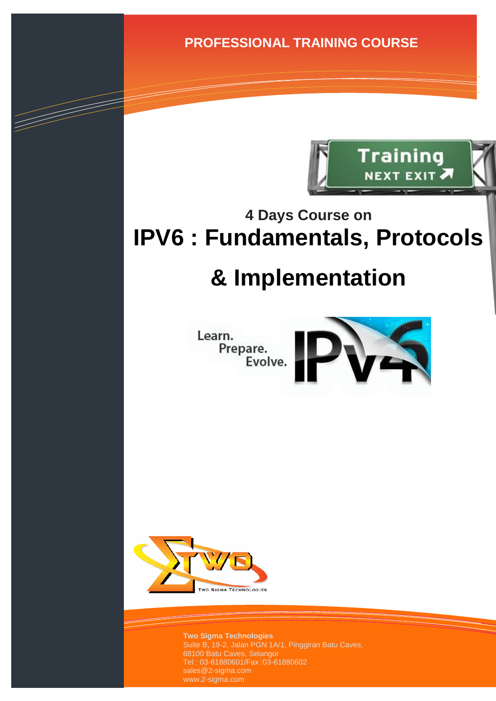**PROFESSIONAL TRAINING COURSE**



# **4 Days Course on IPV6 : Fundamentals, Protocols**

# **& Implementation**

Learn. me<br>Prepare.<br>Evolve.

a de de la década de la década de la década de la década de la década de la década de la década de la década d<br>Contradición de la década de la década de la década de la década de la década de la década de la década de la





**Two Sigma Technologies** Suite B, 19-2, Jalan PGN 1A/1, Pinggiran Batu Caves, 68100 Batu Caves, Selangor Tel : 03-61880601/Fax :03-61880602 sales@2-sigma.com www.2-sigma.com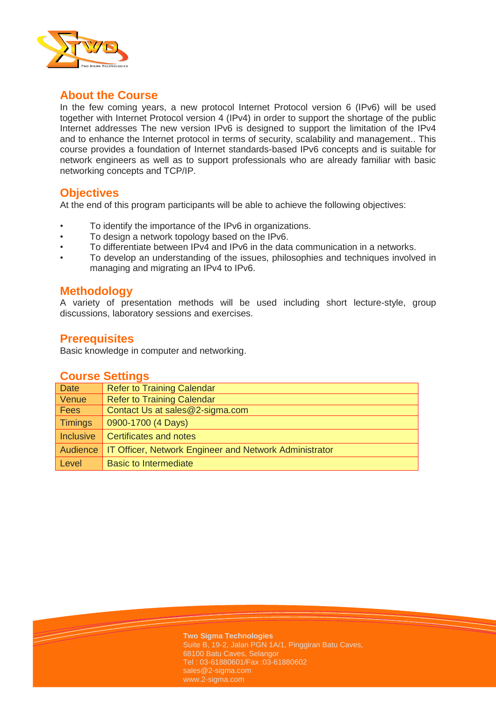

### **About the Course**

In the few coming years, a new protocol Internet Protocol version 6 (IPv6) will be used together with Internet Protocol version 4 (IPv4) in order to support the shortage of the public Internet addresses The new version IPv6 is designed to support the limitation of the IPv4 and to enhance the Internet protocol in terms of security, scalability and management.. This course provides a foundation of Internet standards-based IPv6 concepts and is suitable for network engineers as well as to support professionals who are already familiar with basic networking concepts and TCP/IP.

#### **Objectives**

At the end of this program participants will be able to achieve the following objectives:

- To identify the importance of the IPv6 in organizations.
- To design a network topology based on the IPv6.
- To differentiate between IPv4 and IPv6 in the data communication in a networks.
- To develop an understanding of the issues, philosophies and techniques involved in managing and migrating an IPv4 to IPv6.

#### **Methodology**

A variety of presentation methods will be used including short lecture-style, group discussions, laboratory sessions and exercises.

#### **Prerequisites**

Basic knowledge in computer and networking.

#### **Course Settings**

| <b>Date</b>      | Refer to Training Calendar                                    |  |
|------------------|---------------------------------------------------------------|--|
| Venue            | <b>Refer to Training Calendar</b>                             |  |
| Fees             | Contact Us at sales@2-sigma.com                               |  |
| <b>Timings</b>   | 0900-1700 (4 Days)                                            |  |
| <b>Inclusive</b> | Certificates and notes                                        |  |
| Audience         | <b>IT Officer, Network Engineer and Network Administrator</b> |  |
| Level            | <b>Basic to Intermediate</b>                                  |  |

**Two Sigma Technologies** Suite B, 19-2, Jalan PGN 1A/1, Pinggiran Batu Caves, 68100 Batu Caves, Selangor Tel : 03-61880601/Fax :03-61880602 sales@2-sigma.com www.2-sigma.com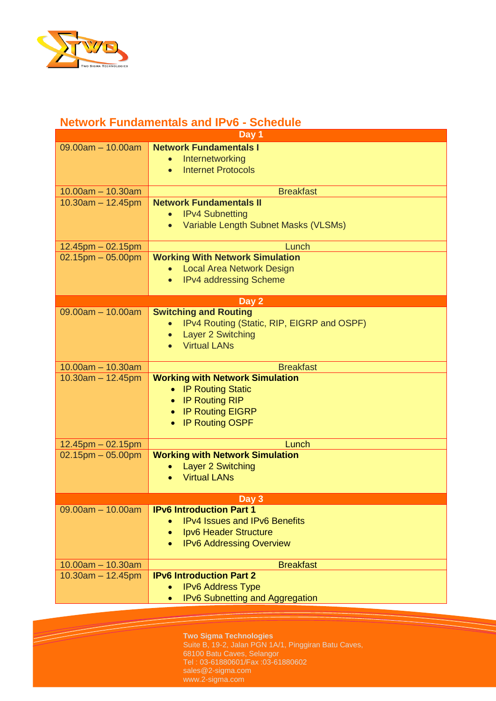

## **Network Fundamentals and IPv6 - Schedule**

|                        | Day 1                                              |
|------------------------|----------------------------------------------------|
| $09.00am - 10.00am$    | <b>Network Fundamentals I</b>                      |
|                        | Internetworking<br>$\bullet$                       |
|                        | <b>Internet Protocols</b><br>$\bullet$             |
|                        |                                                    |
| $10.00am - 10.30am$    | <b>Breakfast</b><br><b>Network Fundamentals II</b> |
| $10.30am - 12.45pm$    | <b>IPv4 Subnetting</b>                             |
|                        | $\bullet$<br>Variable Length Subnet Masks (VLSMs)  |
|                        |                                                    |
| $12.45$ pm $-02.15$ pm | Lunch                                              |
| $02.15$ pm $-05.00$ pm | <b>Working With Network Simulation</b>             |
|                        | <b>Local Area Network Design</b>                   |
|                        | <b>IPv4 addressing Scheme</b>                      |
|                        |                                                    |
| $09.00am - 10.00am$    | Day 2<br><b>Switching and Routing</b>              |
|                        | IPv4 Routing (Static, RIP, EIGRP and OSPF)         |
|                        | <b>Layer 2 Switching</b>                           |
|                        | <b>Virtual LANs</b>                                |
|                        |                                                    |
| $10.00am - 10.30am$    | <b>Breakfast</b>                                   |
| $10.30am - 12.45pm$    | <b>Working with Network Simulation</b>             |
|                        | • IP Routing Static                                |
|                        | <b>IP Routing RIP</b>                              |
|                        | <b>IP Routing EIGRP</b>                            |
|                        | <b>IP Routing OSPF</b>                             |
| 12.45pm - 02.15pm      | Lunch                                              |
| $02.15$ pm $-05.00$ pm | <b>Working with Network Simulation</b>             |
|                        | <b>Layer 2 Switching</b>                           |
|                        | <b>Virtual LANs</b>                                |
|                        |                                                    |
| $09.00am - 10.00am$    | Day 3<br><b>IPv6 Introduction Part 1</b>           |
|                        | <b>IPv4 Issues and IPv6 Benefits</b>               |
|                        | Ipv6 Header Structure                              |
|                        | <b>IPv6 Addressing Overview</b>                    |
|                        |                                                    |
| $10.00am - 10.30am$    | <b>Breakfast</b>                                   |
| $10.30am - 12.45pm$    | <b>IPv6 Introduction Part 2</b>                    |
|                        | <b>IPv6 Address Type</b>                           |
|                        | IPv6 Subnetting and Aggregation                    |

**Two Sigma Technologies** Suite B, 19-2, Jalan PGN 1A/1, Pinggiran Batu Caves, 68100 Batu Caves, Selangor Tel : 03-61880601/Fax :03-61880602 sales@2-sigma.com www.2-sigma.com